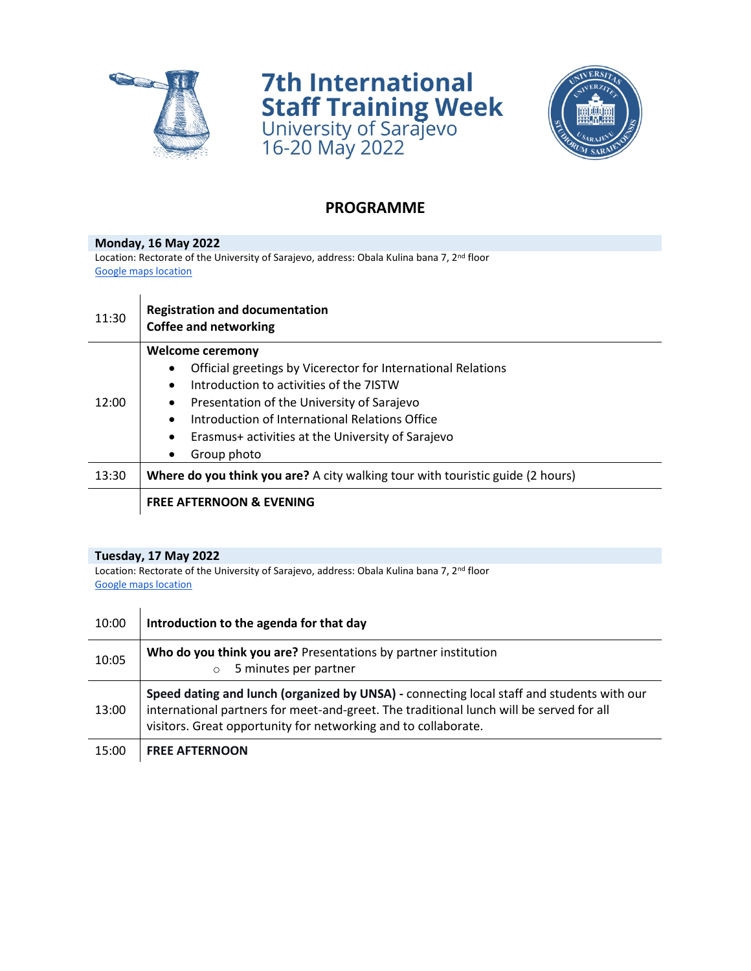

 $\sim$ 

**7th International Staff Training Week**<br>University of Sarajevo<br>16-20 May 2022



## **PROGRAMME**

**Monday, 16 May 2022** Location: Rectorate of the University of Sarajevo, address: Obala Kulina bana 7, 2<sup>nd</sup> floor [Google maps location](https://goo.gl/maps/NkiRPxo1TUTD4iNM9)

| 11:30 | <b>Registration and documentation</b><br><b>Coffee and networking</b>          |
|-------|--------------------------------------------------------------------------------|
| 12:00 | <b>Welcome ceremony</b>                                                        |
|       | Official greetings by Vicerector for International Relations                   |
|       | Introduction to activities of the 7ISTW<br>$\bullet$                           |
|       | Presentation of the University of Sarajevo<br>$\bullet$                        |
|       | Introduction of International Relations Office<br>$\bullet$                    |
|       | Erasmus+ activities at the University of Sarajevo<br>$\bullet$                 |
|       | Group photo<br>$\bullet$                                                       |
| 13:30 | Where do you think you are? A city walking tour with touristic guide (2 hours) |
|       | <b>FREE AFTERNOON &amp; EVENING</b>                                            |

## **Tuesday, 17 May 2022**

Location: Rectorate of the University of Sarajevo, address: Obala Kulina bana 7, 2<sup>nd</sup> floor [Google maps location](https://goo.gl/maps/NkiRPxo1TUTD4iNM9)

| 10:00 | Introduction to the agenda for that day                                                                                                                                                                                                                |
|-------|--------------------------------------------------------------------------------------------------------------------------------------------------------------------------------------------------------------------------------------------------------|
| 10:05 | Who do you think you are? Presentations by partner institution<br>5 minutes per partner<br>$\circ$                                                                                                                                                     |
| 13:00 | Speed dating and lunch (organized by UNSA) - connecting local staff and students with our<br>international partners for meet-and-greet. The traditional lunch will be served for all<br>visitors. Great opportunity for networking and to collaborate. |
| 15:00 | <b>FREE AFTERNOON</b>                                                                                                                                                                                                                                  |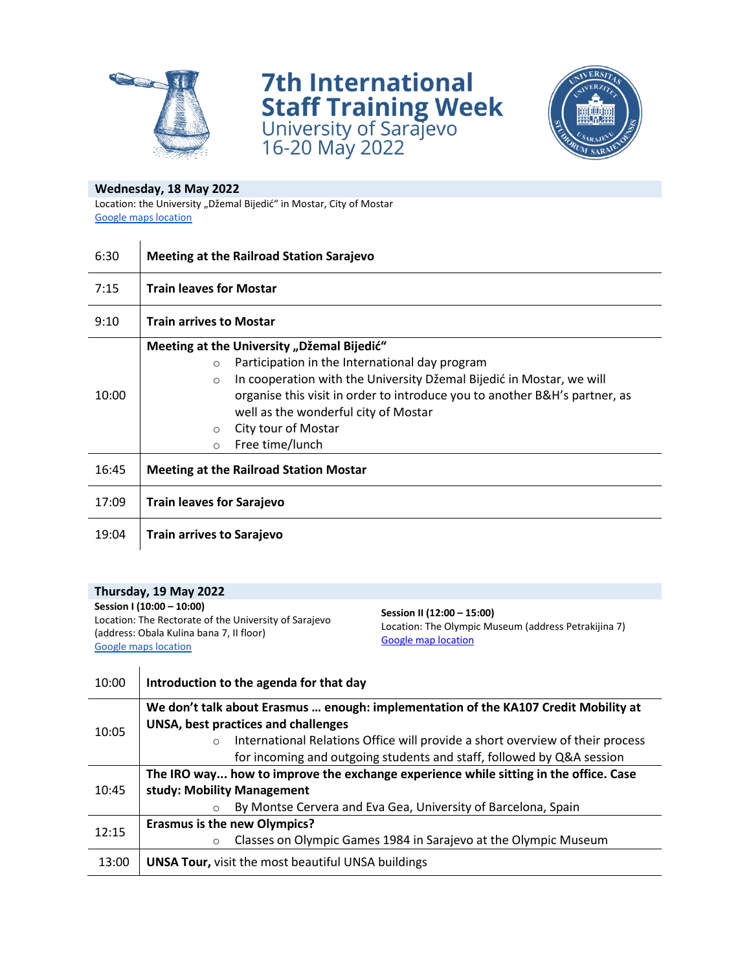

**7th International Staff Training Week**<br>University of Sarajevo<br>16-20 May 2022



## **Wednesday, 18 May 2022**

Location: the University "Džemal Bijedić" in Mostar, City of Mostar [Google maps location](https://goo.gl/maps/pPBcteTZ79LmKwMp9)

| 6:30  | <b>Meeting at the Railroad Station Sarajevo</b>                                                                                                                                                                                                                                                                                                                                  |
|-------|----------------------------------------------------------------------------------------------------------------------------------------------------------------------------------------------------------------------------------------------------------------------------------------------------------------------------------------------------------------------------------|
| 7:15  | <b>Train leaves for Mostar</b>                                                                                                                                                                                                                                                                                                                                                   |
| 9:10  | <b>Train arrives to Mostar</b>                                                                                                                                                                                                                                                                                                                                                   |
| 10:00 | Meeting at the University "Džemal Bijedić"<br>Participation in the International day program<br>$\circ$<br>In cooperation with the University Džemal Bijedić in Mostar, we will<br>$\circ$<br>organise this visit in order to introduce you to another B&H's partner, as<br>well as the wonderful city of Mostar<br>City tour of Mostar<br>$\circ$<br>Free time/lunch<br>$\circ$ |
| 16:45 | <b>Meeting at the Railroad Station Mostar</b>                                                                                                                                                                                                                                                                                                                                    |
| 17:09 | <b>Train leaves for Sarajevo</b>                                                                                                                                                                                                                                                                                                                                                 |
| 19:04 | Train arrives to Sarajevo                                                                                                                                                                                                                                                                                                                                                        |

| Thursday, 19 May 2022                                                                                                                                         |                                                                                                           |
|---------------------------------------------------------------------------------------------------------------------------------------------------------------|-----------------------------------------------------------------------------------------------------------|
| Session I (10:00 - 10:00)<br>Location: The Rectorate of the University of Sarajevo<br>(address: Obala Kulina bana 7, II floor)<br><b>Google maps location</b> | Session II (12:00 - 15:00)<br>Location: The Olympic Museum (address Petrakijina 7)<br>Google map location |
|                                                                                                                                                               |                                                                                                           |

| 10:00 | Introduction to the agenda for that day                                                                                                                           |
|-------|-------------------------------------------------------------------------------------------------------------------------------------------------------------------|
| 10:05 | We don't talk about Erasmus  enough: implementation of the KA107 Credit Mobility at<br>UNSA, best practices and challenges                                        |
|       | International Relations Office will provide a short overview of their process<br>$\circ$<br>for incoming and outgoing students and staff, followed by Q&A session |
| 10:45 | The IRO way how to improve the exchange experience while sitting in the office. Case                                                                              |
|       | study: Mobility Management                                                                                                                                        |
|       | By Montse Cervera and Eva Gea, University of Barcelona, Spain<br>$\bigcap$                                                                                        |
| 12:15 | <b>Erasmus is the new Olympics?</b>                                                                                                                               |
|       | Classes on Olympic Games 1984 in Sarajevo at the Olympic Museum<br>$\circ$                                                                                        |
| 13:00 | <b>UNSA Tour, visit the most beautiful UNSA buildings</b>                                                                                                         |